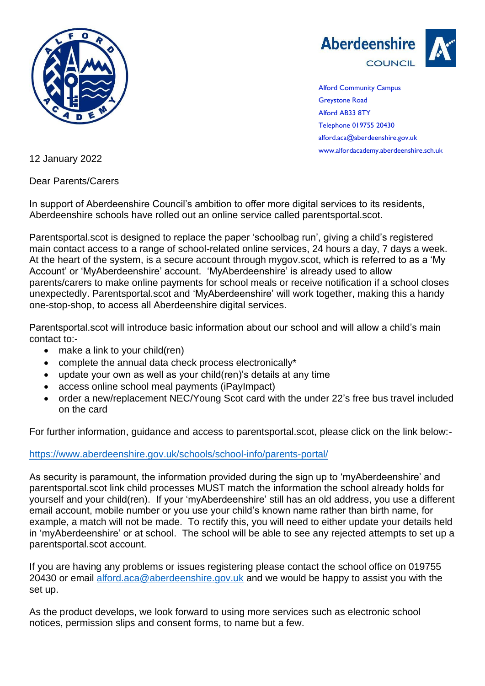



Alford Community Campus Greystone Road Alford AB33 8TY Telephone 019755 20430 alford.aca@aberdeenshire.gov.uk www.alfordacademy.aberdeenshire.sch.uk

12 January 2022

Dear Parents/Carers

In support of Aberdeenshire Council's ambition to offer more digital services to its residents, Aberdeenshire schools have rolled out an online service called parentsportal.scot.

Parentsportal.scot is designed to replace the paper 'schoolbag run', giving a child's registered main contact access to a range of school-related online services, 24 hours a day, 7 days a week. At the heart of the system, is a secure account through mygov.scot, which is referred to as a 'My Account' or 'MyAberdeenshire' account. 'MyAberdeenshire' is already used to allow parents/carers to make online payments for school meals or receive notification if a school closes unexpectedly. Parentsportal.scot and 'MyAberdeenshire' will work together, making this a handy one-stop-shop, to access all Aberdeenshire digital services.

Parentsportal.scot will introduce basic information about our school and will allow a child's main contact to:-

- make a link to your child(ren)
- complete the annual data check process electronically\*
- update your own as well as your child(ren)'s details at any time
- access online school meal payments (iPayImpact)
- order a new/replacement NEC/Young Scot card with the under 22's free bus travel included on the card

For further information, guidance and access to parentsportal.scot, please click on the link below:-

<https://www.aberdeenshire.gov.uk/schools/school-info/parents-portal/>

As security is paramount, the information provided during the sign up to 'myAberdeenshire' and parentsportal.scot link child processes MUST match the information the school already holds for yourself and your child(ren). If your 'myAberdeenshire' still has an old address, you use a different email account, mobile number or you use your child's known name rather than birth name, for example, a match will not be made. To rectify this, you will need to either update your details held in 'myAberdeenshire' or at school. The school will be able to see any rejected attempts to set up a parentsportal.scot account.

If you are having any problems or issues registering please contact the school office on 019755 20430 or email [alford.aca@aberdeenshire.gov.uk](mailto:alford.aca@aberdeenshire.gov.uk) and we would be happy to assist you with the set up.

As the product develops, we look forward to using more services such as electronic school notices, permission slips and consent forms, to name but a few.